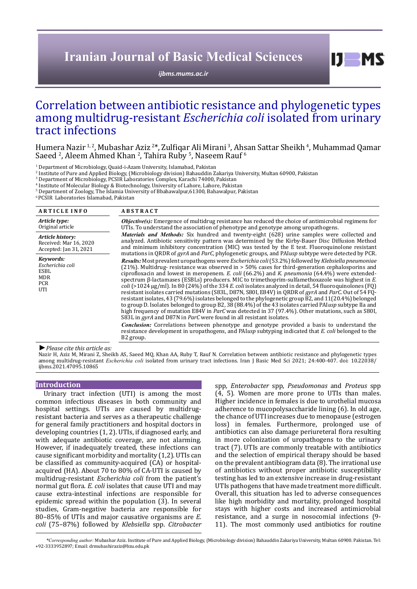# **Iranian Journal of Basic Medical Sciences**

*[ijbms.mums.ac.ir](http://ijbms.mums.ac.ir)*

# Correlation between antibiotic resistance and phylogenetic types among multidrug-resistant *Escherichia coli* isolated from urinary tract infections

Humera Nazir <sup>1, 2</sup>, Mubashar Aziz <sup>2\*</sup>, Zulfiqar Ali Mirani <sup>3</sup>, Ahsan Sattar Sheikh <sup>4</sup>, Muhammad Qamar Saeed <sup>2</sup>, Aleem Ahmed Khan <sup>2</sup>, Tahira Ruby <sup>5</sup>, Naseem Rauf <sup>6</sup>

<sup>1</sup> Department of Microbiology, Quaid-i-Azam University, Islamabad, Pakistan

<sup>2</sup> Institute of Pure and Applied Biology, (Microbiology division) Bahauddin Zakariya University, Multan 60900, Pakistan Institute of Pure and Applied Biology, (Microbiology division) Bahauddin Zakariya University, Multan 60900, Pakistan <sup>3</sup> Department of Microbiology, PCSIR Laboratories Complex, Karachi 74000, Pakistan

4 Institute of Molecular Biology & Biotechnology, University of Lahore, Lahore, Pakistan <sup>5</sup>

<sup>5</sup> Department of Zoology, The Islamia University of Bbahawalpur,61300, Bahawalpur, Pakistan

6 PCSIR Laboratories Islamabad, Pakistan

| <b>ARTICLE INFO</b>                                                      | <b>ABSTRACT</b>                                                                                                                                                                                                                                                                                                                                                                                                                                                                                                                                                                                                                                                                                                                                                                                                                                                                                                                                                                                                                                                                                                                                                                                                                                                                                          |
|--------------------------------------------------------------------------|----------------------------------------------------------------------------------------------------------------------------------------------------------------------------------------------------------------------------------------------------------------------------------------------------------------------------------------------------------------------------------------------------------------------------------------------------------------------------------------------------------------------------------------------------------------------------------------------------------------------------------------------------------------------------------------------------------------------------------------------------------------------------------------------------------------------------------------------------------------------------------------------------------------------------------------------------------------------------------------------------------------------------------------------------------------------------------------------------------------------------------------------------------------------------------------------------------------------------------------------------------------------------------------------------------|
| Article type:<br>Original article                                        | <b>Objective(s):</b> Emergence of multidrug resistance has reduced the choice of antimicrobial regimens for<br>UTIs. To understand the association of phenotype and genotype among uropathogens.                                                                                                                                                                                                                                                                                                                                                                                                                                                                                                                                                                                                                                                                                                                                                                                                                                                                                                                                                                                                                                                                                                         |
| Article history:<br>Received: Mar 16, 2020<br>Accepted: Jan 31, 2021     | <i>Materials and Methods:</i> Six hundred and twenty-eight (628) urine samples were collected and<br>analyzed. Antibiotic sensitivity pattern was determined by the Kirby-Bauer Disc Diffusion Method<br>and minimum inhibitory concentration (MIC) was tested by the E test. Fluoroquinolone resistant<br>mutations in QRDR of gyrA and ParC, phylogenetic groups, and PAIusp subtype were detected by PCR.                                                                                                                                                                                                                                                                                                                                                                                                                                                                                                                                                                                                                                                                                                                                                                                                                                                                                             |
| Kevwords:<br>Escherichia coli<br>ESBL<br><b>MDR</b><br><b>PCR</b><br>UTI | Results: Most prevalent uropathogens were Escherichia coli (53.2%) followed by Klebsiella pneumoniae<br>$(21%)$ . Multidrug- resistance was observed in $>$ 50% cases for third-generation cephalosporins and<br>ciprofloxacin and lowest in meropenem. E. coli $(66.2\%)$ and K. pneumonia $(64.4\%)$ were extended-<br>spectrum $\beta$ -lactamases (ESBLs) producers. MIC to trimethoprim-sulfamethoxazole was highest in E.<br>$\frac{1}{2}$ coli (>1024 µg/ml). In 80 (24%) of the 334 E. coli isolates analyzed in detail, 54 fluoroquinolones (FQ)<br>resistant isolates carried mutations (S83L, D87N, S80I, E84V) in QRDR of gyrA and ParC. Out of 54 FQ-<br>resistant isolates, 43 (79.6%) isolates belonged to the phylogenetic group B2, and 11(20.4%) belonged<br>to group D. Isolates belonged to group B2, 38 (88.4%) of the 43 isolates carried PAIusp subtype IIa and<br>high frequency of mutation E84V in ParC was detected in 37 (97.4%). Other mutations, such as S80I,<br>S83L in gyrA and D87N in ParC were found in all resistant isolates.<br><b>Conclusion:</b> Correlations between phenotype and genotype provided a basis to understand the<br>resistance development in uropathogens, and PAIusp subtyping indicated that E. coli belonged to the<br>B <sub>2</sub> group. |

*►Please cite this article as:*

Nazir H, Aziz M, Mirani Z, Sheikh AS, Saeed MQ, Khan AA, Ruby T, Rauf N. Correlation between antibiotic resistance and phylogenetic types among multidrug-resistant *Escherichia coli* isolated from urinary tract infections. Iran J Basic Med Sci 2021; 24:400-407. doi: 10.22038/ ijbms.2021.47095.10865

#### **Introduction**

Urinary tract infection (UTI) is among the most common infectious diseases in both community and hospital settings. UTIs are caused by multidrugresistant bacteria and serves as a therapeutic challenge for general family practitioners and hospital doctors in developing countries (1, 2). UTIs, if diagnosed early, and with adequate antibiotic coverage, are not alarming. However, if inadequately treated, these infections can cause significant morbidity and mortality (1,2). UTIs can be classified as community-acquired (CA) or hospitalacquired (HA). About 70 to 80% of CA-UTI is caused by multidrug-resistant *Escherichia coli* from the patient's normal gut flora. *E. coli* isolates that cause UTI and may cause extra-intestinal infections are responsible for epidemic spread within the population (3). In several studies, Gram-negative bacteria are responsible for 80–85% of UTIs and major causative organisms are *E. coli* (75–87%) followed by *Klebsiella* spp. *Citrobacter*  spp*, Enterobacter* spp*, Pseudomonas* and *Proteus* spp (4, 5). Women are more prone to UTIs than males. Higher incidence in females is due to urothelial mucosa adherence to mucopolysaccharide lining (6). In old age, the chance of UTI increases due to menopause (estrogen loss) in females. Furthermore, prolonged use of antibiotics can also damage periureteral flora resulting in more colonization of uropathogens to the urinary tract (7). UTIs are commonly treatable with antibiotics and the selection of empirical therapy should be based on the prevalent antibiogram data (8). The irrational use of antibiotics without proper antibiotic susceptibility testing has led to an extensive increase in drug-resistant UTIs pathogens that have made treatment more difficult. Overall, this situation has led to adverse consequences like high morbidity and mortality, prolonged hospital stays with higher costs and increased antimicrobial resistance, and a surge in nosocomial infections (9- 11). The most commonly used antibiotics for routine

 $I$   $I$   $M$   $S$ 

 *\*Corresponding author:* Mubashar Aziz. Institute of Pure and Applied Biology, (Microbiology division) Bahauddin Zakariya University, Multan 60900. Pakistan. Tel: +92-3333952897; Email: drmubashiraziz@bzu.edu.pk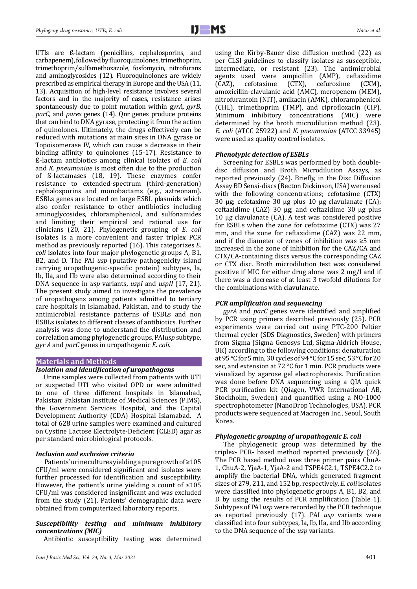UTIs are ß-lactam (penicillins, cephalosporins, and carbapenem), followed by fluoroquinolones, trimethoprim, trimethoprim/sulfamethoxazole, fosfomycin, nitrofurans and aminoglycosides (12). Fluoroquinolones are widely prescribed as empirical therapy in Europe and the USA (11, 13). Acquisition of high-level resistance involves several factors and in the majority of cases, resistance arises spontaneously due to point mutation within g*yrA, gyrB, parC,* and *pares* genes (14). Qnr genes produce proteins that can bind to DNA gyrase, protecting it from the action of quinolones. Ultimately, the drugs effectively can be reduced with mutations at main sites in DNA gyrase or Topoisomerase IV, which can cause a decrease in their binding affinity to quinolones (15-17). Resistance to ß-lactam antibiotics among clinical isolates of *E. coli*  and *K. pneumoniae* is most often due to the production of ß-lactamases (18, 19). These enzymes confer resistance to extended-spectrum (third-generation) cephalosporins and monobactams (e.g., aztreonam). ESBLs genes are located on large ESBL plasmids which also confer resistance to other antibiotics including aminoglycosides, chloramphenicol, and sulfonamides and limiting their empirical and rational use for clinicians (20, 21). Phylogenetic grouping of *E. coli*  isolates is a more convenient and faster triplex PCR method as previously reported (16). This categorizes *E. coli* isolates into four major phylogenetic groups A, B1, B2, and D. The PAI *usp* (putative pathogenicity island carrying uropathogenic-specific protein) subtypes, Ia, Ib, IIa, and IIb were also determined according to their DNA sequence in *usp* variants, *uspI* and *uspII* (17, 21). The present study aimed to investigate the prevalence of uropathogens among patients admitted to tertiary care hospitals in Islamabad, Pakistan, and to study the antimicrobial resistance patterns of ESBLs and non ESBLs isolates to different classes of antibiotics. Further analysis was done to understand the distribution and correlation among phylogenetic groups, PAI*usp* subtype, *gyr A* and *parC* genes in uropathogenic *E. coli.*

#### **Materials and Methods**

#### *Isolation and identification of uropathogens*

Urine samples were collected from patients with UTI or suspected UTI who visited OPD or were admitted to one of three different hospitals in Islamabad, Pakistan: Pakistan Institute of Medical Sciences (PIMS), the Government Services Hospital, and the Capital Development Authority (CDA) Hospital Islamabad. A total of 628 urine samples were examined and cultured on Cystine Lactose Electrolyte-Deficient (CLED) agar as per standard microbiological protocols.

#### *Inclusion and exclusion criteria*

Patients' urine cultures yielding a pure growth of ≥105 CFU/ml were considered significant and isolates were further processed for identification and susceptibility. However, the patient's urine yielding a count of  $\leq 105$ CFU/ml was considered insignificant and was excluded from the study (21). Patients' demographic data were obtained from computerized laboratory reports.

## *Susceptibility testing and minimum inhibitory concentrations (MIC)*

Antibiotic susceptibility testing was determined

using the Kirby-Bauer disc diffusion method (22) as per CLSI guidelines to classify isolates as susceptible, intermediate, or resistant (23). The antimicrobial agents used were ampicillin (AMP), ceftazidime (CAZ), cefotaxime (CTX), cefuroxime (CXM), cefuroxime amoxicillin-clavulanic acid (AMC), meropenem (MEM), nitrofurantoin (NIT), amikacin (AMK), chloramphenicol (CHL), trimethoprim (TMP), and ciprofloxacin (CIP). Minimum inhibitory concentrations (MIC) were determined by the broth microdilution method (23). *E. coli* (ATCC 25922) and *K. pneumoniae* (ATCC 33945) were used as quality control isolates.

#### *Phenotypic detection of ESBLs*

Screening for ESBLs was performed by both doubledisc diffusion and Broth Microdilution Assays, as reported previously (24). Briefly, in the Disc Diffusion Assay BD Sensi-discs (Becton Dickinson, USA) were used with the following concentrations; cefotaxime (CTX) 30 µg; cefotaxime 30 µg plus 10 µg clavulanate (CA); ceftazidime (CAZ) 30  $\mu$ g; and ceftazidime 30  $\mu$ g plus 10 µg clavulanate (CA). A test was considered positive for ESBLs when the zone for cefotaxime (CTX) was 27 mm, and the zone for ceftazidime (CAZ) was 22 mm, and if the diameter of zones of inhibition was ≥5 mm increased in the zone of inhibition for the CAZ/CA and CTX/CA-containing discs versus the corresponding CAZ or CTX disc. Broth microdilution test was considered positive if MIC for either drug alone was 2 mg/l and if there was a decrease of at least 3 twofold dilutions for the combinations with clavulanate.

## *PCR amplification and sequencing*

*gyrA* and *parC* genes were identified and amplified by PCR using primers described previously (25). PCR experiments were carried out using PTC-200 Peltier thermal cycler (SDS Diagnostics, Sweden) with primers from Sigma (Sigma Genosys Ltd, Sigma-Aldrich House, UK) according to the following conditions: denaturation at 95 °C for 5 min, 30 cycles of 94 °C for 15 sec, 53 °C for 20 sec, and extension at 72 °C for 1 min. PCR products were visualized by agarose gel electrophoresis. Purification was done before DNA sequencing using a QIA quick PCR purification kit (Qiagen, VWR International AB, Stockholm, Sweden) and quantified using a NO-1000 spectrophotometer (NanoDrop Technologies, USA). PCR products were sequenced at Macrogen Inc., Seoul, South Korea.

### *Phylogenetic grouping of uropathogenic E. coli*

The phylogenetic group was determined by the triplex- PCR- based method reported previously (26). The PCR based method uses three primer pairs ChuA-1, ChuA-2, YjaA-1, YjaA-2 and TSPE4C2.1, TSPE4C2.2 to amplify the bacterial DNA, which generated fragment sizes of 279, 211, and 152 bp, respectively. *E. coli* isolates were classified into phylogenetic groups A, B1, B2, and D by using the results of PCR amplification (Table 1). Subtypes of PAI *usp* were recorded by the PCR technique as reported previously (17). PAI *usp* variants were classified into four subtypes, Ia, Ib, IIa, and IIb according to the DNA sequence of the *usp* variants.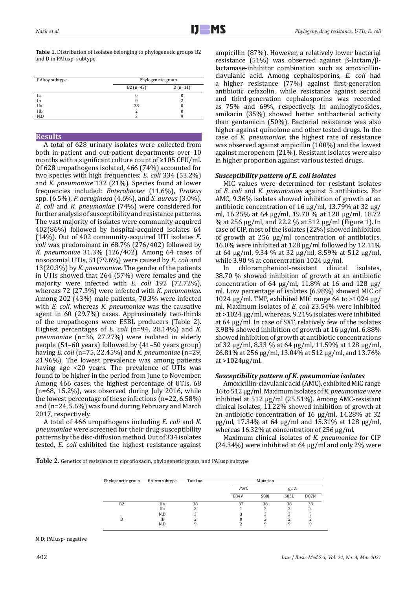**Table 1.** Distribution of isolates belonging to phylogenetic groups B2 and D in PAIusp- subtype

| PAIusp subtype | Phylogenetic group |           |  |  |
|----------------|--------------------|-----------|--|--|
|                | $B2$ (n=43)        | $D(n=11)$ |  |  |
| I a            |                    |           |  |  |
| Ib             |                    |           |  |  |
| <b>IIa</b>     | 38                 |           |  |  |
| IIb            |                    |           |  |  |
| N.D            |                    |           |  |  |

## **Results**

A total of 628 urinary isolates were collected from both in-patient and out-patient departments over 10 months with a significant culture count of ≥105 CFU/ml. Of 628 uropathogens isolated, 466 (74%) accounted for two species with high frequencies: *E. coli* 334 (53.2%) and *K. pneumoniae* 132 (21%). Species found at lower frequencies included: *Enterobacter* (11.6%), *Proteus*  spp. (6.5%), *P. aeruginosa* (4.6%), and *S. aureus* (3.0%). *E. coli* and *K. pneumoniae* (74%) were considered for further analysis of susceptibility and resistance patterns. The vast majority of isolates were community-acquired 402(86%) followed by hospital-acquired isolates 64 (14%). Out of 402 community-acquired UTI isolates *E. coli* was predominant in 68.7% (276/402) followed by *K. pneumoniae* 31.3% (126/402). Among 64 cases of nosocomial UTIs, 51(79.6%) were caused by *E. coli* and 13(20.3%) by *K. pneumoniae*. The gender of the patients in UTIs showed that 264 (57%) were females and the majority were infected with *E. coli* 192 (72.72%), whereas 72 (27.3%) were infected with *K. pneumoniae.*  Among 202 (43%) male patients, 70.3% were infected with *E. coli*, whereas *K. pneumoniae* was the causative agent in 60 (29.7%) cases. Approximately two-thirds of the uropathogens were ESBL producers (Table 2). Highest percentages of *E. coli* (n=94, 28.14%) and *K. pneumoniae* (n=36, 27.27%) were isolated in elderly people (51–60 years) followed by (41–50 years group) having *E. coli* (n=75, 22.45%) and *K. pneumoniae* (n=29, 21.96%). The lowest prevalence was among patients having age <20 years. The prevalence of UTIs was found to be higher in the period from June to November. Among 466 cases, the highest percentage of UTIs, 68  $(n=68, 15.2\%)$ , was observed during July 2016, while the lowest percentage of these infections (n=22, 6.58%) and (n=24, 5.6%) was found during February and March 2017, respectively.

A total of 466 uropathogens including *E. coli* and *K. pneumoniae* were screened for their drug susceptibility patterns by the disc-diffusion method. Out of 334 isolates tested, *E. coli* exhibited the highest resistance against

ampicillin (87%). However, a relatively lower bacterial resistance (51%) was observed against β-lactam/βlactamase-inhibitor combination such as amoxicillinclavulanic acid. Among cephalosporins, *E. coli* had a higher resistance (77%) against first-generation antibiotic cefazolin, while resistance against second and third-generation cephalosporins was recorded as 75% and 69%, respectively. In aminoglycosides, amikacin (35%) showed better antibacterial activity than gentamicin (50%). Bacterial resistance was also higher against quinolone and other tested drugs. In the case of *K. pneumoniae*, the highest rate of resistance was observed against ampicillin (100%) and the lowest against meropenem (21%). Resistant isolates were also in higher proportion against various tested drugs.

## *Susceptibility pattern of E. coli isolates*

MIC values were determined for resistant isolates of *E. coli* and *K. pneumoniae* against 5 antibiotics. For AMC, 9.36% isolates showed inhibition of growth at an antibiotic concentration of 16 µg/ml, 13.79% at 32 µg/ ml, 16.25% at 64 µg/ml, 19.70 % at 128 µg/ml, 18.72 % at 256 µg/ml, and 22.2 % at 512 µg/ml (Figure 1). In case of CIP, most of the isolates (22%) showed inhibition of growth at 256 µg/ml concentration of antibiotics. 16.0% were inhibited at 128 µg/ml followed by 12.11% at 64 µg/ml, 9.34 % at 32 µg/ml, 8.59% at 512 µg/ml, while 3.90 % at concentration  $1024 \mu g/ml$ .<br>In chloramphenicol-resistant clinical

chloramphenicol-resistant clinical isolates, 38.70 % showed inhibition of growth at an antibiotic concentration of 64  $\mu$ g/ml, 11.8% at 16 and 128  $\mu$ g/ ml. Low percentage of isolates (6.98%) showed MIC of 1024  $\mu$ g/ml. TMP, exhibited MIC range 64 to >1024  $\mu$ g/ ml. Maximum isolates of *E. coli* 23.54% were inhibited at >1024 µg/ml, whereas, 9.21% isolates were inhibited at 64 µg/ml. In case of SXT, relatively few of the isolates 3.98% showed inhibition of growth at 16 µg/ml. 6.88% showed inhibition of growth at antibiotic concentrations of 32 µg/ml, 8.33 % at 64 µg/ml, 11.59% at 128 µg/ml, 26.81% at 256 µg/ml, 13.04% at 512 µg/ml, and 13.76% at >1024µg/ml.

## *Susceptibility pattern of K. pneumoniae isolates*

Amoxicillin-clavulanic acid (AMC), exhibited MIC range 16 to 512 µg/ml. Maximum isolates of *K. pneumoniae were*  inhibited at 512 µg/ml (25.51%). Among AMC-resistant clinical isolates, 11.22% showed inhibition of growth at an antibiotic concentration of 16 µg/ml, 14.28% at 32 µg/ml, 17.34% at 64 µg/ml and 15.31% at 128 µg/ml, whereas 16.32% at concentration of 256 µg/ml.

Maximum clinical isolates of *K. pneumoniae* for CIP  $(24.34%)$  were inhibited at 64  $\mu$ g/ml and only 2% were

**Table 2.** Genetics of resistance to ciprofloxacin, phylogenetic group, and PAIusp subtype

| Phylogenetic group | PAIusp subtype | Total no. | Mutation |             |      |             |
|--------------------|----------------|-----------|----------|-------------|------|-------------|
|                    |                |           | ParC     |             | gyrA |             |
|                    |                |           | E84V     | <b>S801</b> | S83L | <b>D87N</b> |
| B <sub>2</sub>     | <b>IIa</b>     | 38        | 37       | 38          | 38   | 38          |
|                    | IIb            |           |          |             |      |             |
|                    | N.D            |           |          | 3           | 3    |             |
| D                  | Ib             |           |          |             |      |             |
|                    | N.D            |           |          | Ω           | a    |             |

N.D; PAIusp- negative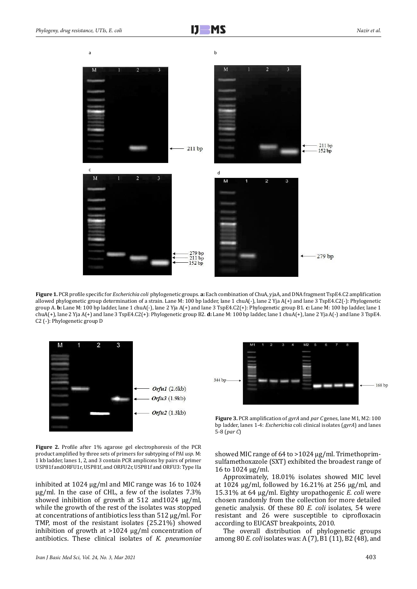

**Figure 1.** PCR profile specific for *Escherichia coli* phylogenetic groups. **a:** Each combination of ChuA, yjaA, and DNA fragment TspE4.C2 amplification allowed phylogenetic group determination of a strain. Lane M: 100 bp ladder, lane 1 chuA(-), lane 2 Yja A(+) and lane 3 TspE4.C2(-): Phylogenetic group A. **b:** Lane M: 100 bp ladder, lane 1 chuA(-), lane 2 Yja A(+) and lane 3 TspE4.C2(+): Phylogenetic group B1. **c:** Lane M: 100 bp ladder, lane 1 chuA(+), lane 2 Yja A(+) and lane 3 TspE4.C2(+): Phylogenetic group B2. **d:** Lane M: 100 bp ladder, lane 1 chuA(+), lane 2 Yja A(-) and lane 3 TspE4. C2 (-): Phylogenetic group D



**Figure 2.** Profile after 1% agarose gel electrophoresis of the PCR product amplified by three sets of primers for subtyping of PAI *usp*. M: 1 kb ladder, lanes 1, 2, and 3 contain PCR amplicons by pairs of primer USP81f andORFU1r, USP81f, and ORFU2r, USP81f and ORFU3: Type IIa

inhibited at 1024 µg/ml and MIC range was 16 to 1024 µg/ml. In the case of CHL, a few of the isolates 7.3% showed inhibition of growth at 512 and1024 µg/ml, while the growth of the rest of the isolates was stopped at concentrations of antibiotics less than 512 µg/ml. For TMP, most of the resistant isolates (25.21%) showed inhibition of growth at >1024 µg/ml concentration of antibiotics. These clinical isolates of *K. pneumoniae* 



**Figure 3.** PCR amplification of *gyrA* and *par C* genes, lane M1, M2: 100 bp ladder, lanes 1-4: *Escherichia* coli clinical isolates (*gyrA*) and lanes 5-8 (*par C*)

showed MIC range of 64 to >1024 µg/ml. Trimethoprimsulfamethoxazole (SXT) exhibited the broadest range of 16 to 1024 µg/ml.

Approximately, 18.01% isolates showed MIC level at 1024  $\mu$ g/ml, followed by 16.21% at 256  $\mu$ g/ml, and 15.31% at 64 µg/ml. Eighty uropathogenic *E. coli* were chosen randomly from the collection for more detailed genetic analysis. Of these 80 *E. coli* isolates, 54 were resistant and 26 were susceptible to ciprofloxacin according to EUCAST breakpoints, 2010.

The overall distribution of phylogenetic groups among 80 *E. coli* isolates was: A (7), B1 (11), B2 (48), and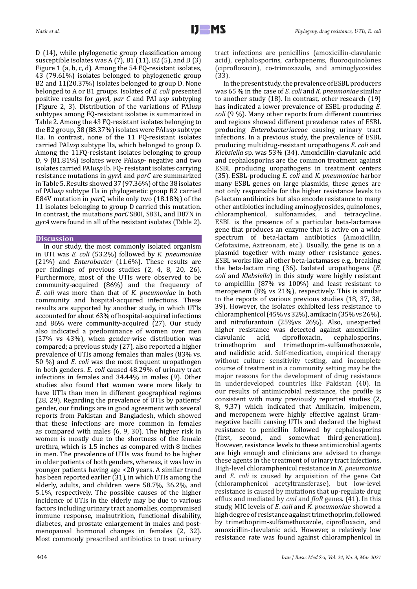D (14), while phylogenetic group classification among susceptible isolates was A  $(7)$ , B1 $(11)$ , B2 $(5)$ , and D $(3)$ Figure 1 (a, b, c, d). Among the 54 FQ-resistant isolates, 43 (79.61%) isolates belonged to phylogenetic group B2 and 11(20.37%) isolates belonged to group D. None belonged to A or B1 groups. Isolates of *E. coli* presented positive results for *gyrA, par C* and PAI *usp* subtyping (Figure 2, 3). Distribution of the variations of PAI*usp* subtypes among FQ-resistant isolates is summarized in Table 2. Among the 43 FQ-resistant isolates belonging to the B2 group, 38 (88.37%) isolates were PAI*usp* subtype IIa. In contrast, none of the 11 FQ-resistant isolates carried PAI*usp* subtype IIa, which belonged to group D. Among the 11FQ-resistant isolates belonging to group D, 9 (81.81%) isolates were PAI*usp*- negative and two isolates carried PAI*usp* Ib. FQ- resistant isolates carrying resistance mutations in *gyrA* and *parC* are summarized in Table 5. Results showed 37 (97.36%) of the 38 isolates of PAI*usp* subtype IIa in phylogenetic group B2 carried E84V mutation in *parC*, while only two (18.18%) of the 11 isolates belonging to group D carried this mutation. In contrast, the mutations *parC* S80I, S83L, and D87N in *gyrA* were found in all of the resistant isolates (Table 2).

## **Discussion**

In our study, the most commonly isolated organism in UTI was *E. coli* (53.2%) followed by *K. pneumoniae*  (21%) and *Enterobacter* (11.6%). These results are per findings of previous studies (2, 4, 8, 20, 26). Furthermore, most of the UTIs were observed to be community-acquired (86%) and the frequency of *E. coli* was more than that of *K. pneumoniae* in both community and hospital-acquired infections. These results are supported by another study, in which UTIs accounted for about 63% of hospital-acquired infections and 86% were community-acquired (27). Our study also indicated a predominance of women over men (57% vs 43%), when gender-wise distribution was compared; a previous study (27), also reported a higher prevalence of UTIs among females than males (83% vs. 50 %) and *E. coli* was the most frequent uropathogen in both genders. *E. coli* caused 48.29% of urinary tract infections in females and 34.44% in males (9). Other studies also found that women were more likely to have UTIs than men in different geographical regions (28, 29). Regarding the prevalence of UTIs by patients' gender, our findings are in good agreement with several reports from Pakistan and Bangladesh, which showed that these infections are more common in females as compared with males (6, 9, 30). The higher risk in women is mostly due to the shortness of the female urethra, which is 1.5 inches as compared with 8 inches in men. The prevalence of UTIs was found to be higher in older patients of both genders, whereas, it was low in younger patients having age <20 years. A similar trend has been reported earlier (31), in which UTIs among the elderly, adults, and children were 58.7%, 36.2%, and 5.1%, respectively. The possible causes of the higher incidence of UTIs in the elderly may be due to various factors including urinary tract anomalies, compromised immune response, malnutrition, functional disability, diabetes, and prostate enlargement in males and postmenopausal hormonal changes in females (2, 32). Most commonly prescribed antibiotics to treat urinary

404

tract infections are penicillins (amoxicillin-clavulanic acid), cephalosporins, carbapenems, fluoroquinolones (ciprofloxacin), co-trimoxazole, and aminoglycosides (33).

In the present study, the prevalence of ESBL producers was 65 % in the case of *E. coli* and *K. pneumoniae* similar to another study (18). In contrast, other research (19) has indicated a lower prevalence of ESBL-producing *E. coli* (9 %). Many other reports from different countries and regions showed different prevalence rates of ESBL producing *Enterobacteriaceae* causing urinary tract infections. In a previous study, the prevalence of ESBL producing multidrug-resistant uropathogens *E. coli* and *Klebsiella* sp. was 53% (34). Amoxicillin-clavulanic acid and cephalosporins are the common treatment against ESBL producing uropathogens in treatment centers (35). ESBL-producing *E. coli* and *K. pneumoniae* harbor many ESBL genes on large plasmids, these genes are not only responsible for the higher resistance levels to β-lactam antibiotics but also encode resistance to many other antibiotics including aminoglycosides, quinolones, chloramphenicol, sulfonamides, and tetracycline. ESBL is the presence of a particular beta-lactamase gene that produces an enzyme that is active on a wide spectrum of beta-lactam antibiotics (Amoxicillin, Cefotaxime, Aztreonam, etc.). Usually, the gene is on a plasmid together with many other resistance genes. ESBL works like all other beta-lactamases e.g., breaking the beta-lactam ring (36). Isolated uropathogens (*E. coli* and *Klebsiella*) in this study were highly resistant to ampicillin (87% vs 100%) and least resistant to meropenem (8% vs 21%), respectively. This is similar to the reports of various previous studies (18, 37, 38, 39). However, the isolates exhibited less resistance to chloramphenicol (45% vs 32%), amikacin (35% vs 26%), and nitrofurantoin (25%vs 26%). Also, unexpected higher resistance was detected against amoxicillin-<br>clavulanic acid, ciprofloxacin, cephalosporins, clavulanic acid, ciprofloxacin, cephalosporins, trimethoprim and trimethoprim-sulfamethoxazole, and nalidixic acid. Self-medication, empirical therapy without culture sensitivity testing, and incomplete course of treatment in a community setting may be the major reasons for the development of drug resistance in underdeveloped countries like Pakistan (40). In our results of antimicrobial resistance, the profile is consistent with many previously reported studies (2, 8, 9,37) which indicated that Amikacin, imipenem, and meropenem were highly effective against Gramnegative bacilli causing UTIs and declared the highest resistance to penicillin followed by cephalosporins (first, second, and somewhat third-generation). However, resistance levels to these antimicrobial agents are high enough and clinicians are advised to change these agents in the treatment of urinary tract infections. High-level chloramphenicol resistance in *K. pneumoniae* and *E. coli* is caused by acquisition of the gene Cat (chloramphenicol acetyltransferase), but low-level resistance is caused by mutations that up-regulate drug efflux and mediated by *cml* and *floR* genes. (41). In this study, MIC levels of *E. coli* and *K. pneumoniae* showed a high degree of resistance against trimethoprim, followed by trimethoprim-sulfamethoxazole, ciprofloxacin, and amoxicillin-clavulanic acid. However, a relatively low resistance rate was found against chloramphenicol in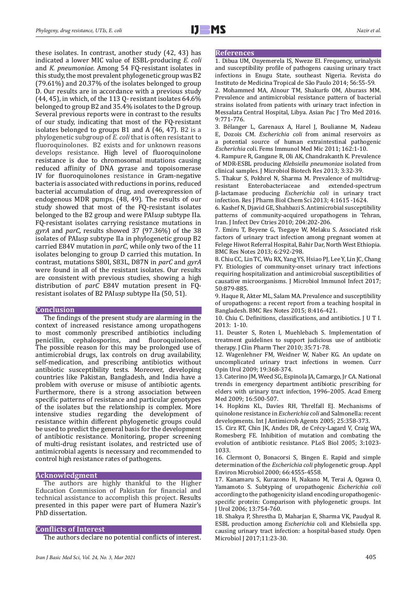these isolates. In contrast, another study (42, 43) has indicated a lower MIC value of ESBL-producing *E. coli*  and *K. pneumoniae*. Among 54 FQ-resistant isolates in this study, the most prevalent phylogenetic group was B2 (79.61%) and 20.37% of the isolates belonged to group D. Our results are in accordance with a previous study (44, 45), in which, of the 113 Q- resistant isolates 64.6% belonged to group B2 and 35.4% isolates to the D group. Several previous reports were in contrast to the results of our study, indicating that most of the FQ-resistant isolates belonged to groups B1 and A (46, 47). B2 is a phylogenetic subgroup of *E. coli* that is often resistant to fluoroquinolones. B2 exists and for unknown reasons develops resistance. High level of fluoroquinolone resistance is due to chromosomal mutations causing reduced affinity of DNA gyrase and topoisomerase IV for fluoroquinolones resistance in Gram-negative bacteria is associated with reductions in porins, reduced bacterial accumulation of drug, and overexpression of endogenous MDR pumps. (48, 49). The results of our study showed that most of the FQ-resistant isolates belonged to the B2 group and were PAI*usp* subtype IIa. FQ-resistant isolates carrying resistance mutations in *gyrA* and *parC,* results showed 37 (97.36%) of the 38 isolates of PAI*usp* subtype IIa in phylogenetic group B2 carried E84V mutation in *parC*, while only two of the 11 isolates belonging to group D carried this mutation. In contrast, mutations S80I, S83L, D87N in *parC* and *gyrA*  were found in all of the resistant isolates. Our results are consistent with previous studies, showing a high distribution of *parC* E84V mutation present in FQresistant isolates of B2 PAI*usp* subtype IIa (50, 51).

#### **Conclusion**

The findings of the present study are alarming in the context of increased resistance among uropathogens to most commonly prescribed antibiotics including penicillin, cephalosporins, and fluoroquinolones. The possible reason for this may be prolonged use of antimicrobial drugs, lax controls on drug availability, self-medication, and prescribing antibiotics without antibiotic susceptibility tests. Moreover, developing countries like Pakistan, Bangladesh, and India have a problem with overuse or misuse of antibiotic agents. Furthermore, there is a strong association between specific patterns of resistance and particular genotypes of the isolates but the relationship is complex. More intensive studies regarding the development of resistance within different phylogenetic groups could be used to predict the general basis for the development of antibiotic resistance. Monitoring, proper screening of multi-drug resistant isolates, and restricted use of antimicrobial agents is necessary and recommended to control high resistance rates of pathogens.

## **Acknowledgment**

The authors are highly thankful to the Higher Education Commission of Pakistan for financial and technical assistance to accomplish this project. Results presented in this paper were part of Humera Nazir's PhD dissertation.

## **Conflicts of Interest**

The authors declare no potential conflicts of interest.

#### **References**

1. Dibua UM, Onyemerela IS, Nweze EI. Frequency, urinalysis and susceptibility profile of pathogens causing urinary tract infections in Enugu State, southeast Nigeria. Revista do Instituto de Medicina Tropical de São Paulo 2014; 56:55-59.

2. Mohammed MA, Alnour TM, Shakurfo OM, Aburass MM. Prevalence and antimicrobial resistance pattern of bacterial strains isolated from patients with urinary tract infection in Messalata Central Hospital, Libya. Asian Pac J Tro Med 2016. 9:771-776.

3. Bélanger L, Garenaux A, Harel J, Boulianne M, Nadeau E, Dozois CM. *Escherichia coli* from animal reservoirs as a potential source of human extraintestinal pathogenic *Escherichia* coli. Fems Immunol Med Mic 2011; 162:1-10.

4. Rampure R, Gangane R, Oli AK, Chandrakanth K. Prevalence of MDR-ESBL producing *Klebsiella pneumoniae* isolated from clinical samples. J Microbiol Biotech Res 2013; 3:32-39.

5. Thakur S, Pokhrel N, Sharma M. Prevalence of multidrug-Enterobacteriaceae β-lactamase producing *Escherichia coli* in urinary tract infection. Res J Pharm Biol Chem Sci 2013; 4:1615 -1624.

6. Kashef N, Djavid GE, Shahbazi S. Antimicrobial susceptibility patterns of community-acquired uropathogens in Tehran, Iran. J Infect Dev Ctries 2010; 204:202-206.

7. Emiru T, Beyene G, Tsegaye W, Melaku S. Associated risk factors of urinary tract infection among pregnant women at Felege Hiwot Referral Hospital, Bahir Dar, North West Ethiopia. BMC Res Notes 2013; 6:292-298.

8. Chiu CC, Lin TC, Wu RX, Yang YS, Hsiao PJ, Lee Y, Lin JC, Chang FY. Etiologies of community-onset urinary tract infections requiring hospitalization and antimicrobial susceptibilities of causative microorganisms. J Microbiol Immunol Infect 2017; 50:879-885.

9. Haque R, Akter ML, Salam MA. Prevalence and susceptibility of uropathogens: a recent report from a teaching hospital in Bangladesh. BMC Res Notes 2015; 8:416-421.

10. Chiu C. Definitions, classifications, and antibiotics. J U T I. 2013: 1-10.

11. Deuster S, Roten I, Muehlebach S. Implementation of treatment guidelines to support judicious use of antibiotic therapy. J Clin Pharm Ther 2010; 35:71-78.

12. Wagenlehner FM, Weidner W, Naber KG. An update on uncomplicated urinary tract infections in women. Curr Opin Urol 2009; 19:368-374.

13. Caterino JM, Weed SG, Espinola JA, Camargo, Jr CA. National trends in emergency department antibiotic prescribing for elders with urinary tract infection, 1996–2005. Acad Emerg Med 2009; 16:500-507.

14. Hopkins KL, Davies RH, Threlfall EJ. Mechanisms of quinolone resistance in *Escherichia coli* and Salmonella: recent developments. Int J Antimicrob Agents 2005; 25:358-373.

15. Cirz RT, Chin JK, Andes DR, de Crécy-Lagard V, Craig WA, Romesberg FE. Inhibition of mutation and combating the evolution of antibiotic resistance. PLoS Biol 2005; 3:1023- 1033.

16. Clermont O, Bonacorsi S, Bingen E. Rapid and simple determination of the *Escherichia coli* phylogenetic group. Appl Environ Microbiol 2000; 66:4555-4558.

17. Kanamaru S, Kurazono H, Nakano M, Terai A, Ogawa O, Yamamoto S. Subtyping of uropathogenic *Escherichia coli* according to the pathogenicity island encoding uropathogenicspecific protein: Comparison with phylogenetic groups. Int J Urol 2006; 13:754-760.

18. Shakya P, Shrestha D, Maharjan E, Sharma VK, Paudyal R. ESBL production among *Escherichia* coli and Klebsiella spp. causing urinary tract infection: a hospital-based study. Open Microbiol J 2017;11:23-30.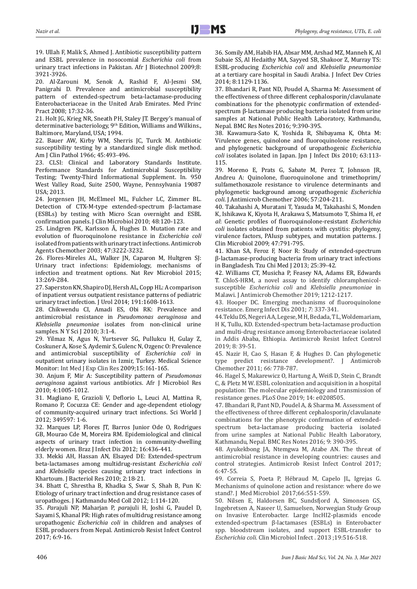19. Ullah F, Malik S, Ahmed J. Antibiotic susceptibility pattern and ESBL prevalence in nosocomial *Escherichia coli* from urinary tract infections in Pakistan. Afr J Biotechnol 2009;8: 3921-3926.

20. Al-Zarouni M, Senok A, Rashid F, Al-Jesmi SM, Panigrahi D. Prevalence and antimicrobial susceptibility pattern of extended-spectrum beta-lactamase-producing Enterobacteriaceae in the United Arab Emirates. Med Princ Pract 2008; 17:32-36.

21. Holt JG, Krieg NR, Sneath PH, Staley JT. Bergey's manual of determinative bacteriology, 9<sup>th</sup> Edition, Williams and Wilkins., Baltimore, Maryland, USA; 1994.

22. Bauer AW, Kirby WM, Sherris JC, Turck M. Antibiotic susceptibility testing by a standardized single disk method. Am J Clin Pathol 1966; 45:493-496.

23. CLSI: Clinical and Laboratory Standards Institute. Performance Standards for Antimicrobial Susceptibility Testing; Twenty-Third Informational Supplement. In*.* 950 West Valley Road, Suite 2500, Wayne, Pennsylvania 19087 USA; 2013.

24. Jorgensen JH, McElmeel ML, Fulcher LC, Zimmer BL. Detection of CTX-M-type extended-spectrum β-lactamase (ESBLs) by testing with Micro Scan overnight and ESBL confirmation panels. J Clin Microbiol 2010; 48:120-123.

25. Lindgren PK, Karlsson Å, Hughes D. Mutation rate and evolution of fluoroquinolone resistance in *Escherichia coli* isolated from patients with urinary tract infections. Antimicrob Agents Chemother 2003; 47:3222-3232.

26. Flores-Mireles AL, Walker JN, Caparon M, Hultgren SJ: Urinary tract infections: Epidemiology, mechanisms of infection and treatment options. Nat Rev Microbiol 2015; 13:269-284.

27. Saperston KN, Shapiro DJ, Hersh AL, Copp HL: A comparison of inpatient versus outpatient resistance patterns of pediatric urinary tract infection. J Urol 2014; 191:1608-1613.

28. Chikwendu CI, Amadi ES, Obi RK: Prevalence and antimicrobial resistance in *Pseudomonas aeruginosa* and *Klebsiella pneumoniae* isolates from non-clinical urine samples. N Y Sci J 2010; 3:1-4.

29. Yilmaz N, Agus N, Yurtsever SG, Pullukcu H, Gulay Z, Coskuner A, Kose S, Aydemir S, Gulenc N, Ozgenc O: Prevalence and antimicrobial susceptibility of *Escherichia coli* in outpatient urinary isolates in Izmir, Turkey. Medical Science Monitor: Int Med J Exp Clin Res 2009;15: I61-165.

30. Anjum F, Mir A: Susceptibility pattern of *Pseudomonas aeruginosa* against various antibiotics. Afr J Microbiol Res 2010; 4:1005-1012.

31. Magliano E, Grazioli V, Deflorio L, Leuci AI, Mattina R, Romano P, Cocuzza CE: Gender and age-dependent etiology of community-acquired urinary tract infections. Sci World J 2012; 349597: 1-6.

32. Marques LP, Flores JT, Barros Junior Ode O, Rodrigues GB, Mourao Cde M, Moreira RM. Epidemiological and clinical aspects of urinary tract infection in community-dwelling elderly women. Braz J Infect Dis 2012; 16:436-441.

33. Mekki AH, Hassan AN, Elsayed DE: Extended-spectrum beta-lactamases among multidrug-resistant *Escherichia coli* and *Klebsiella* species causing urinary tract infections in Khartoum. J Bacteriol Res 2010; 2:18-21.

34. Bhatt C, Shrestha B, Khadka S, Swar S, Shah B, Pun K: Etiology of urinary tract infection and drug resistance cases of uropathoges. J Kathmandu Med Coll 2012; 1:114-120.

35. *Par*ajuli NP, Maharjan P, *par*ajuli H, Joshi G, Paudel D, Sayami S, Khanal PR: High rates of multidrug resistance among uropathogenic *Escherichia coli* in children and analyses of ESBL producers from Nepal. Antimicrob Resist Infect Control 2017; 6:9-16.

36. Somily AM, Habib HA, Absar MM, Arshad MZ, Manneh K, Al Subaie SS, Al Hedaithy MA, Sayyed SB, Shakoor Z, Murray TS: ESBL-producing *Escherichia coli* and *Klebsiella pneumoniae* at a tertiary care hospital in Saudi Arabia. J Infect Dev Ctries 2014; 8:1129-1136.

37. Bhandari R, Pant ND, Poudel A, Sharma M: Assessment of the effectiveness of three different cephalosporin/clavulanate combinations for the phenotypic confirmation of extendedspectrum β-lactamase producing bacteria isolated from urine samples at National Public Health Laboratory, Kathmandu, Nepal. BMC Res Notes 2016; 9:390-395.

38. Kawamura-Sato K, Yoshida R, Shibayama K, Ohta M: Virulence genes, quinolone and fluoroquinolone resistance, and phylogenetic background of uropathogenic *Escherichia coli* isolates isolated in Japan. Jpn J Infect Dis 2010; 63:113- 115.

39. Moreno E, Prats G, Sabate M, Perez T, Johnson JR, Andreu A: Quinolone, fluoroquinolone and trimethoprim/ sulfamethoxazole resistance to virulence determinants and phylogenetic background among uropathogenic *Escherichia coli*. J Antimicrob Chemother 2006; 57:204-211.

40. Takahashi A, Muratani T, Yasuda M, Takahashi S, Monden K, Ishikawa K, Kiyota H, Arakawa S, Matsumoto T, Shima H, *et al*: Genetic profiles of fluoroquinolone-resistant *Escherichia coli* isolates obtained from patients with cystitis: phylogeny, virulence factors, PAIusp subtypes, and mutation patterns. J Clin Microbiol 2009; 47:791-795.

41. Khan SA, Feroz F, Noor R: Study of extended-spectrum β-lactamase-producing bacteria from urinary tract infections in Bangladesh. Tzu Chi Med J 2013; 25:39-42.

42. Williams CT, Musicha P, Feasey NA, Adams ER, Edwards T. ChloS-HRM, a novel assay to identify chloramphenicolsusceptible *Escherichia coli* and *Klebsiella pneumoniae* in Malawi. J Antimicrob Chemother 2019; 1212-1217.

43. Hooper DC. Emerging mechanisms of fluoroquinolone resistance. Emerg Infect Dis 2001; *7:* 337-341.

44.Teklu DS, Negeri A A, Legese, M H, Bedada, T L, Woldemariam, H K, Tullu, KD. Extended-spectrum beta-lactamase production and multi-drug resistance among Enterobacteriaceae isolated in Addis Ababa, Ethiopia. Antimicrob Resist Infect Control 2019; 8*:* 39-51.

45*.* Nazir H, Cao S, Hasan F, & Hughes D. Can phylogenetic type predict resistance development?. J Antimicrob Chemother 2011; *66:* 778-787.

46. Hagel S, Makarewicz O, Hartung A, Weiß D, Stein C, Brandt C, & Pletz M W. ESBL colonization and acquisition in a hospital population: The molecular epidemiology and transmission of resistance genes. PLoS One 2019; 14: e0208505.

47. Bhandari R, Pant ND, Poudel A, & Sharma M. Assessment of the effectiveness of three different cephalosporin/clavulanate combinations for the phenotypic confirmation of extendedspectrum beta-lactamase producing bacteria isolated from urine samples at National Public Health Laboratory, Kathmandu, Nepal. BMC Res Notes 2016; 9: 390-395.

48. Ayukekbong JA, Ntemgwa M, Atabe AN. The threat of antimicrobial resistance in developing countries: causes and control strategies. Antimicrob Resist Infect Control 2017; 6:47-55.

49. Correia S, Poeta P, Hébraud M, Capelo JL, Igrejas G. Mechanisms of quinolone action and resistance: where do we stand?. J Med Microbiol 2017;66:551-559.

50. Nilsen E, Haldorsen BC, Sundsfjord A, Simonsen GS, Ingebretsen A, Naseer U, Samuelsen, Norwegian Study Group on Invasive Enterobacter. Large IncHI2-plasmids encode extended-spectrum β-lactamases (ESBLs) in Enterobacter spp. bloodstream isolates, and support ESBL-transfer to *Escherichia coli*. Clin Microbiol Infect . 2013 ;19:516-518.